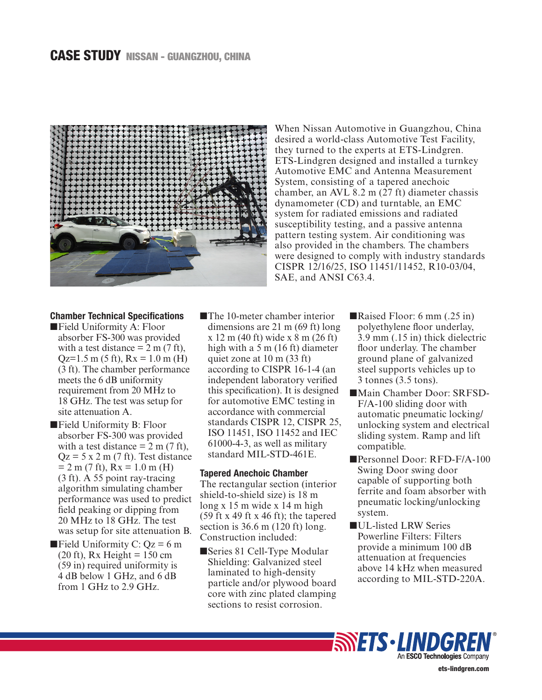# CASE STUDY NISSAN - GUANGZHOU, CHINA



When Nissan Automotive in Guangzhou, China desired a world-class Automotive Test Facility, they turned to the experts at ETS-Lindgren. ETS-Lindgren designed and installed a turnkey Automotive EMC and Antenna Measurement System, consisting of a tapered anechoic chamber, an AVL 8.2 m (27 ft) diameter chassis dynamometer (CD) and turntable, an EMC system for radiated emissions and radiated susceptibility testing, and a passive antenna pattern testing system. Air conditioning was also provided in the chambers. The chambers were designed to comply with industry standards CISPR 12/16/25, ISO 11451/11452, R10-03/04, SAE, and ANSI C63.4.

## Chamber Technical Specifications

- ■Field Uniformity A: Floor absorber FS-300 was provided with a test distance  $= 2$  m (7 ft),  $Qz=1.5$  m (5 ft),  $Rx = 1.0$  m (H) (3 ft). The chamber performance meets the 6 dB uniformity requirement from 20 MHz to 18 GHz. The test was setup for site attenuation A.
- ■Field Uniformity B: Floor absorber FS-300 was provided with a test distance  $= 2$  m (7 ft),  $Qz = 5$  x 2 m (7 ft). Test distance  $= 2$  m (7 ft), Rx = 1.0 m (H) (3 ft). A 55 point ray-tracing algorithm simulating chamber performance was used to predict field peaking or dipping from 20 MHz to 18 GHz. The test was setup for site attenuation B.
- **Field Uniformity C: Qz = 6 m**  $(20 \text{ ft})$ , Rx Height = 150 cm (59 in) required uniformity is 4 dB below 1 GHz, and 6 dB from 1 GHz to 2.9 GHz.

■The 10-meter chamber interior dimensions are 21 m (69 ft) long x 12 m (40 ft) wide x 8 m (26 ft) high with a 5 m (16 ft) diameter quiet zone at 10 m (33 ft) according to CISPR 16-1-4 (an independent laboratory verified this specification). It is designed for automotive EMC testing in accordance with commercial standards CISPR 12, CISPR 25, ISO 11451, ISO 11452 and IEC 61000-4-3, as well as military standard MIL-STD-461E.

# Tapered Anechoic Chamber

The rectangular section (interior shield-to-shield size) is 18 m long x 15 m wide x 14 m high (59 ft x 49 ft x 46 ft); the tapered section is 36.6 m (120 ft) long. Construction included:

■Series 81 Cell-Type Modular Shielding: Galvanized steel laminated to high-density particle and/or plywood board core with zinc plated clamping sections to resist corrosion.

- ■Raised Floor: 6 mm (.25 in) polyethylene floor underlay, 3.9 mm (.15 in) thick dielectric floor underlay. The chamber ground plane of galvanized steel supports vehicles up to 3 tonnes (3.5 tons).
- ■Main Chamber Door: SRFSD-F/A-100 sliding door with automatic pneumatic locking/ unlocking system and electrical sliding system. Ramp and lift compatible.
- ■Personnel Door: RFD-F/A-100 Swing Door swing door capable of supporting both ferrite and foam absorber with pneumatic locking/unlocking system.
- ■UL-listed LRW Series Powerline Filters: Filters provide a minimum 100 dB attenuation at frequencies above 14 kHz when measured according to MIL-STD-220A.